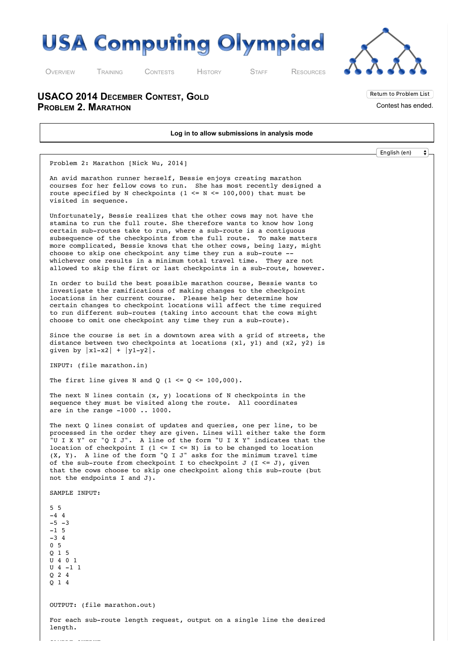



Return to Problem List Contest has ended.

O[VERVIEW](http://usaco.org/index.php) T[RAINING](http://usaco.org/index.php?page=training) C[ONTESTS](http://usaco.org/index.php?page=contests) H[ISTORY](http://usaco.org/index.php?page=history) S[TAFF](http://usaco.org/index.php?page=staff) R[ESOURCES](http://usaco.org/index.php)

**USACO 2014 DECEMBER CONTEST, GOLD PROBLEM 2. MARATHON**

**Log in to allow submissions in analysis mode** English (en) $\bullet$ Problem 2: Marathon [Nick Wu, 2014] An avid marathon runner herself, Bessie enjoys creating marathon courses for her fellow cows to run. She has most recently designed a route specified by N checkpoints (1  $\leq N \leq 100,000$ ) that must be visited in sequence. Unfortunately, Bessie realizes that the other cows may not have the stamina to run the full route. She therefore wants to know how long certain sub-routes take to run, where a sub-route is a contiguous subsequence of the checkpoints from the full route. To make matters more complicated, Bessie knows that the other cows, being lazy, might choose to skip one checkpoint any time they run a sub-route - whichever one results in a minimum total travel time. They are not allowed to skip the first or last checkpoints in a sub-route, however. In order to build the best possible marathon course, Bessie wants to investigate the ramifications of making changes to the checkpoint locations in her current course. Please help her determine how certain changes to checkpoint locations will affect the time required to run different sub-routes (taking into account that the cows might choose to omit one checkpoint any time they run a sub-route). Since the course is set in a downtown area with a grid of streets, the distance between two checkpoints at locations  $(x1, y1)$  and  $(x2, y2)$  is given by  $|x1-x2| + |y1-y2|$ . INPUT: (file marathon.in) The first line gives N and Q (1  $\leq$  Q  $\leq$  100,000). The next N lines contain  $(x, y)$  locations of N checkpoints in the sequence they must be visited along the route. All coordinates are in the range -1000 .. 1000. The next Q lines consist of updates and queries, one per line, to be processed in the order they are given. Lines will either take the form "U I X Y" or "Q I J". A line of the form "U I X Y" indicates that the location of checkpoint I (1 <= I <= N) is to be changed to location (X, Y). A line of the form "Q I J" asks for the minimum travel time of the sub-route from checkpoint I to checkpoint J  $(I \leq J)$ , given that the cows choose to skip one checkpoint along this sub-route (but not the endpoints I and J). SAMPLE INPUT: 5 5  $-4$  4  $-5 -3$  $-1$  5  $-3$  4 0 5 Q 1 5 U 4 0 1 U 4 -1 1 Q 2 4 Q 1 4 OUTPUT: (file marathon.out) For each sub-route length request, output on a single line the desired length.